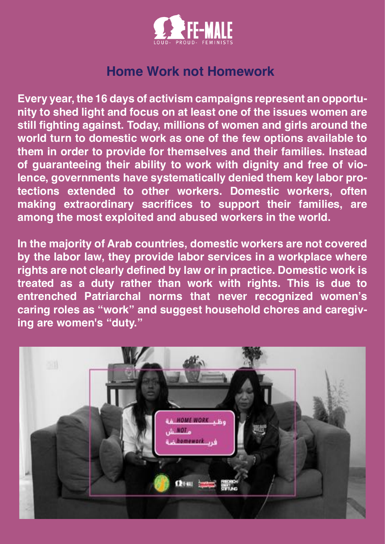

## **Home Work not Homework**

**Every year, the 16 days of activism campaigns represent an opportunity to shed light and focus on at least one of the issues women are still fighting against. Today, millions of women and girls around the world turn to domestic work as one of the few options available to them in order to provide for themselves and their families. Instead of guaranteeing their ability to work with dignity and free of violence, governments have systematically denied them key labor protections extended to other workers. Domestic workers, often making extraordinary sacrifices to support their families, are among the most exploited and abused workers in the world.**

**In the majority of Arab countries, domestic workers are not covered by the labor law, they provide labor services in a workplace where rights are not clearly defined by law or in practice. Domestic work is treated as a duty rather than work with rights. This is due to entrenched Patriarchal norms that never recognized women's caring roles as "work" and suggest household chores and caregiving are women's "duty."** 

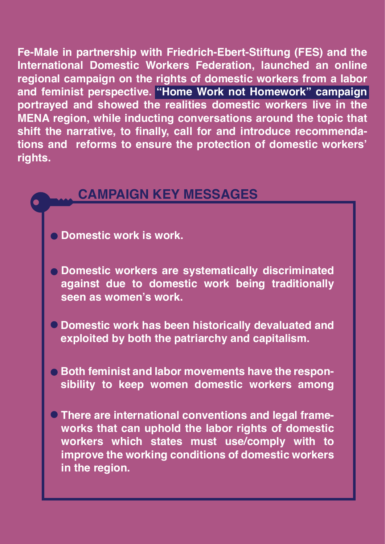**Fe-Male in partnership with Friedrich-Ebert-Stiftung (FES) and the International Domestic Workers Federation, launched an online regional campaign on the rights of domestic workers from a labor and feminist perspective. "Home Work not Homework" campaign portrayed and showed the realities domestic workers live in the MENA region, while inducting conversations around the topic that shift the narrative, to finally, call for and introduce recommendations and reforms to ensure the protection of domestic workers' rights.** 

## **CAMPAIGN KEY MESSAGES**

**Domestic work is work.**

 $\bullet$ 

- **Domestic workers are systematically discriminated against due to domestic work being traditionally seen as women's work.**
- **Domestic work has been historically devaluated and exploited by both the patriarchy and capitalism.**
- **Both feminist and labor movements have the responsibility to keep women domestic workers among**
- **There are international conventions and legal frameworks that can uphold the labor rights of domestic workers which states must use/comply with to improve the working conditions of domestic workers in the region.**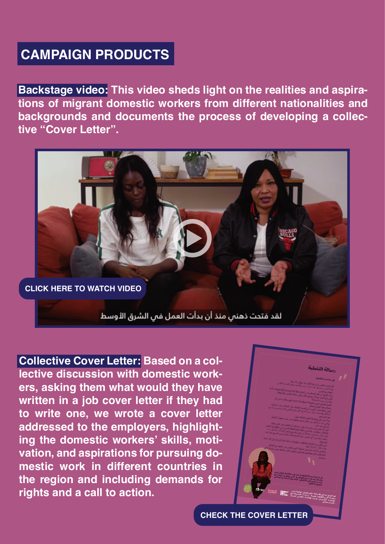## **CAMPAIGN PRODUCTS**

**Backstage video: This video sheds light on the realities and aspirations of migrant domestic workers from different nationalities and backgrounds and documents the process of developing a collective "Cover Letter".**



**Collective Cover Letter: Based on a collective discussion with domestic workers, asking them what would they have written in a job cover letter if they had to write one, we wrote a cover letter addressed to the employers, highlighting the domestic workers' skills, motivation, and aspirations for pursuing domestic work in different countries in the region and including demands for rights and a call to action.** 



**[CHECK THE COVER LETTER](https://www.youtube.com/watch?v=qtDkFlWakV0&t=2s)**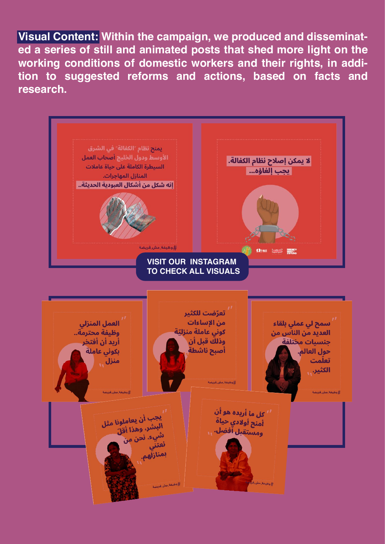**Visual Content: Within the campaign, we produced and disseminated a series of still and animated posts that shed more light on the working conditions of domestic workers and their rights, in addition to suggested reforms and actions, based on facts and research.**